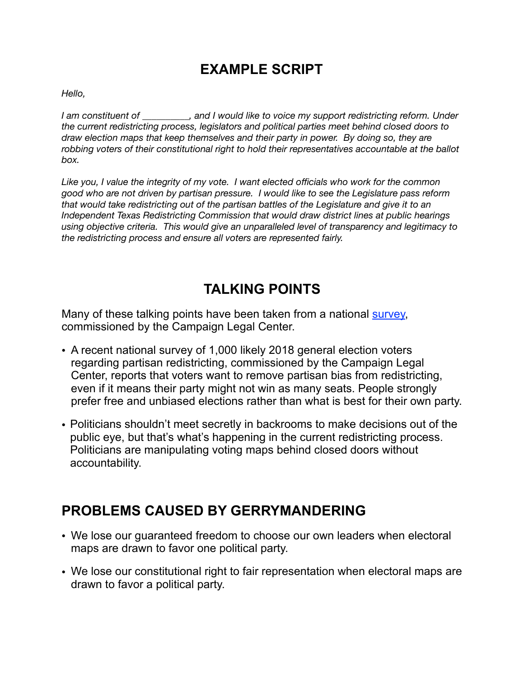## **EXAMPLE SCRIPT**

*Hello,* 

*I am constituent of \_\_\_\_\_\_\_\_\_\_, and I would like to voice my support redistricting reform. Under the current redistricting process, legislators and political parties meet behind closed doors to draw election maps that keep themselves and their party in power. By doing so, they are robbing voters of their constitutional right to hold their representatives accountable at the ballot box.* 

*Like you, I value the integrity of my vote. I want elected officials who work for the common good who are not driven by partisan pressure. I would like to see the Legislature pass reform that would take redistricting out of the partisan battles of the Legislature and give it to an Independent Texas Redistricting Commission that would draw district lines at public hearings using objective criteria. This would give an unparalleled level of transparency and legitimacy to the redistricting process and ensure all voters are represented fairly.* 

## **TALKING POINTS**

Many of these talking points have been taken from a national **survey**, commissioned by the Campaign Legal Center.

- A recent national survey of 1,000 likely 2018 general election voters regarding partisan redistricting, commissioned by the Campaign Legal Center, reports that voters want to remove partisan bias from redistricting, even if it means their party might not win as many seats. People strongly prefer free and unbiased elections rather than what is best for their own party.
- Politicians shouldn't meet secretly in backrooms to make decisions out of the public eye, but that's what's happening in the current redistricting process. Politicians are manipulating voting maps behind closed doors without accountability.

## **PROBLEMS CAUSED BY GERRYMANDERING**

- We lose our guaranteed freedom to choose our own leaders when electoral maps are drawn to favor one political party.
- We lose our constitutional right to fair representation when electoral maps are drawn to favor a political party.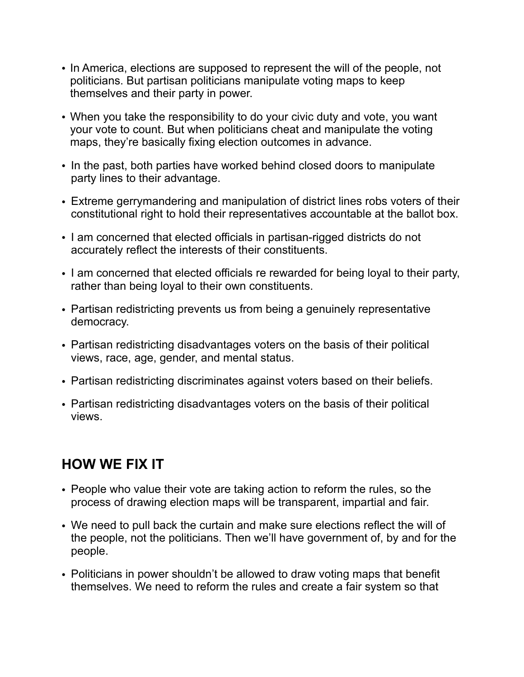- In America, elections are supposed to represent the will of the people, not politicians. But partisan politicians manipulate voting maps to keep themselves and their party in power.
- When you take the responsibility to do your civic duty and vote, you want your vote to count. But when politicians cheat and manipulate the voting maps, they're basically fixing election outcomes in advance.
- In the past, both parties have worked behind closed doors to manipulate party lines to their advantage.
- Extreme gerrymandering and manipulation of district lines robs voters of their constitutional right to hold their representatives accountable at the ballot box.
- I am concerned that elected officials in partisan-rigged districts do not accurately reflect the interests of their constituents.
- I am concerned that elected officials re rewarded for being loyal to their party, rather than being loyal to their own constituents.
- Partisan redistricting prevents us from being a genuinely representative democracy.
- Partisan redistricting disadvantages voters on the basis of their political views, race, age, gender, and mental status.
- Partisan redistricting discriminates against voters based on their beliefs.
- Partisan redistricting disadvantages voters on the basis of their political views.

## **HOW WE FIX IT**

- People who value their vote are taking action to reform the rules, so the process of drawing election maps will be transparent, impartial and fair.
- We need to pull back the curtain and make sure elections reflect the will of the people, not the politicians. Then we'll have government of, by and for the people.
- Politicians in power shouldn't be allowed to draw voting maps that benefit themselves. We need to reform the rules and create a fair system so that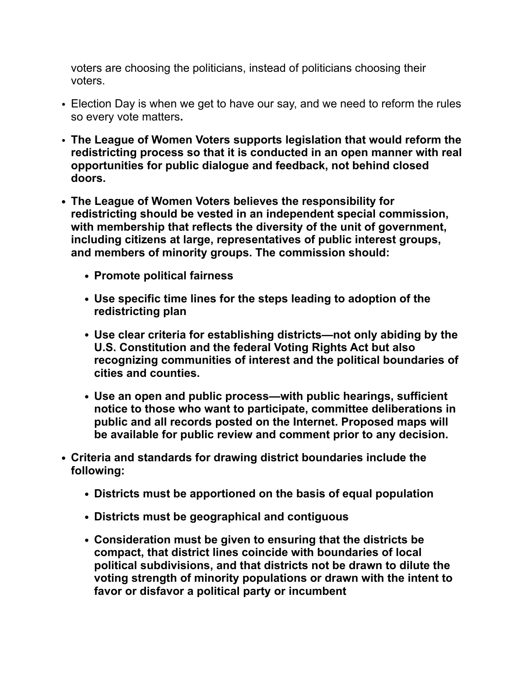voters are choosing the politicians, instead of politicians choosing their voters.

- Election Day is when we get to have our say, and we need to reform the rules so every vote matters**.**
- **The League of Women Voters supports legislation that would reform the redistricting process so that it is conducted in an open manner with real opportunities for public dialogue and feedback, not behind closed doors.**
- **• The League of Women Voters believes the responsibility for redistricting should be vested in an independent special commission, with membership that reflects the diversity of the unit of government, including citizens at large, representatives of public interest groups, and members of minority groups. The commission should:**
	- **• Promote political fairness**
	- **• Use specific time lines for the steps leading to adoption of the redistricting plan**
	- **• Use clear criteria for establishing districts—not only abiding by the U.S. Constitution and the federal Voting Rights Act but also recognizing communities of interest and the political boundaries of cities and counties.**
	- **• Use an open and public process—with public hearings, sufficient notice to those who want to participate, committee deliberations in public and all records posted on the Internet. Proposed maps will be available for public review and comment prior to any decision.**
- **• Criteria and standards for drawing district boundaries include the following:**
	- **• Districts must be apportioned on the basis of equal population**
	- **• Districts must be geographical and contiguous**
	- **• Consideration must be given to ensuring that the districts be compact, that district lines coincide with boundaries of local political subdivisions, and that districts not be drawn to dilute the voting strength of minority populations or drawn with the intent to favor or disfavor a political party or incumbent**